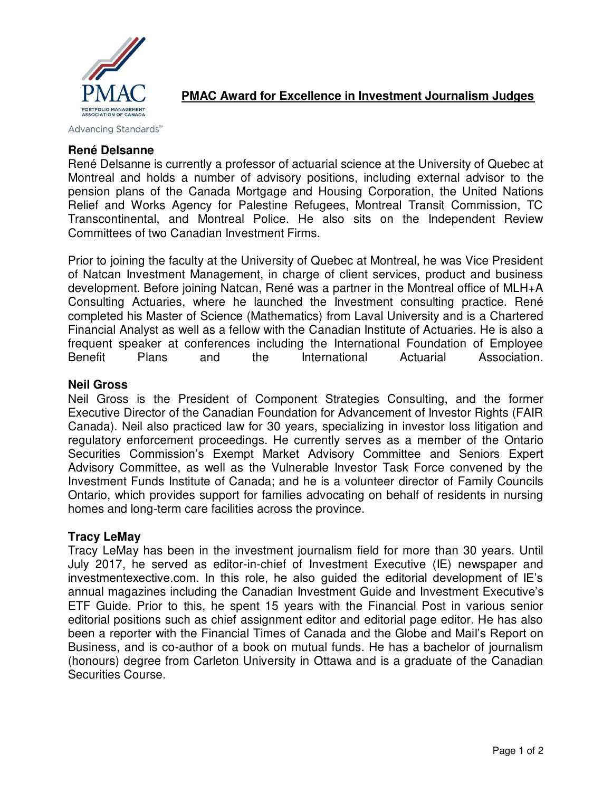

# **PMAC Award for Excellence in Investment Journalism Judges**

Advancing Standards™

### **René Delsanne**

René Delsanne is currently a professor of actuarial science at the University of Quebec at Montreal and holds a number of advisory positions, including external advisor to the pension plans of the Canada Mortgage and Housing Corporation, the United Nations Relief and Works Agency for Palestine Refugees, Montreal Transit Commission, TC Transcontinental, and Montreal Police. He also sits on the Independent Review Committees of two Canadian Investment Firms.

Prior to joining the faculty at the University of Quebec at Montreal, he was Vice President of Natcan Investment Management, in charge of client services, product and business development. Before joining Natcan, René was a partner in the Montreal office of MLH+A Consulting Actuaries, where he launched the Investment consulting practice. René completed his Master of Science (Mathematics) from Laval University and is a Chartered Financial Analyst as well as a fellow with the Canadian Institute of Actuaries. He is also a frequent speaker at conferences including the International Foundation of Employee Benefit Plans and the International Actuarial Association.

### **Neil Gross**

Neil Gross is the President of Component Strategies Consulting, and the former Executive Director of the Canadian Foundation for Advancement of Investor Rights (FAIR Canada). Neil also practiced law for 30 years, specializing in investor loss litigation and regulatory enforcement proceedings. He currently serves as a member of the Ontario Securities Commission's Exempt Market Advisory Committee and Seniors Expert Advisory Committee, as well as the Vulnerable Investor Task Force convened by the Investment Funds Institute of Canada; and he is a volunteer director of Family Councils Ontario, which provides support for families advocating on behalf of residents in nursing homes and long-term care facilities across the province.

#### **Tracy LeMay**

Tracy LeMay has been in the investment journalism field for more than 30 years. Until July 2017, he served as editor-in-chief of Investment Executive (IE) newspaper and investmentexective.com. In this role, he also guided the editorial development of IE's annual magazines including the Canadian Investment Guide and Investment Executive's ETF Guide. Prior to this, he spent 15 years with the Financial Post in various senior editorial positions such as chief assignment editor and editorial page editor. He has also been a reporter with the Financial Times of Canada and the Globe and Mail's Report on Business, and is co-author of a book on mutual funds. He has a bachelor of journalism (honours) degree from Carleton University in Ottawa and is a graduate of the Canadian Securities Course.